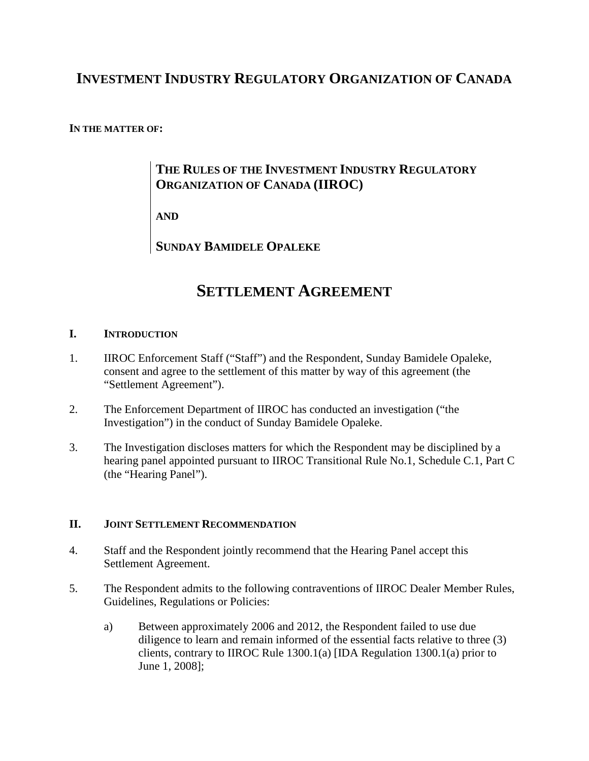# **INVESTMENT INDUSTRY REGULATORY ORGANIZATION OF CANADA**

# **IN THE MATTER OF:**

# **THE RULES OF THE INVESTMENT INDUSTRY REGULATORY ORGANIZATION OF CANADA (IIROC)**

**AND**

**SUNDAY BAMIDELE OPALEKE**

# **SETTLEMENT AGREEMENT**

# **I. INTRODUCTION**

- 1. IIROC Enforcement Staff ("Staff") and the Respondent, Sunday Bamidele Opaleke, consent and agree to the settlement of this matter by way of this agreement (the "Settlement Agreement").
- 2. The Enforcement Department of IIROC has conducted an investigation ("the Investigation") in the conduct of Sunday Bamidele Opaleke.
- 3. The Investigation discloses matters for which the Respondent may be disciplined by a hearing panel appointed pursuant to IIROC Transitional Rule No.1, Schedule C.1, Part C (the "Hearing Panel").

# **II. JOINT SETTLEMENT RECOMMENDATION**

- 4. Staff and the Respondent jointly recommend that the Hearing Panel accept this Settlement Agreement.
- 5. The Respondent admits to the following contraventions of IIROC Dealer Member Rules, Guidelines, Regulations or Policies:
	- a) Between approximately 2006 and 2012, the Respondent failed to use due diligence to learn and remain informed of the essential facts relative to three (3) clients, contrary to IIROC Rule 1300.1(a) [IDA Regulation 1300.1(a) prior to June 1, 2008];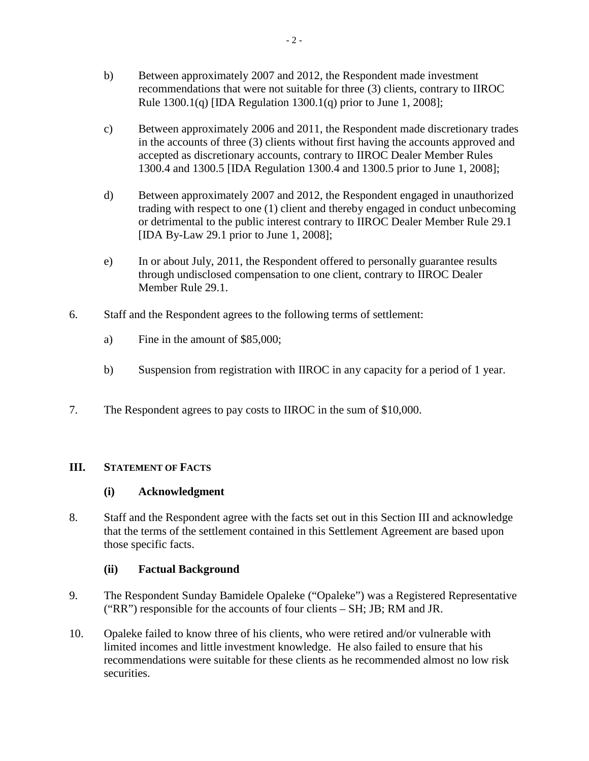- b) Between approximately 2007 and 2012, the Respondent made investment recommendations that were not suitable for three (3) clients, contrary to IIROC Rule  $1300.1(q)$  [IDA Regulation  $1300.1(q)$  prior to June 1, 2008];
- c) Between approximately 2006 and 2011, the Respondent made discretionary trades in the accounts of three (3) clients without first having the accounts approved and accepted as discretionary accounts, contrary to IIROC Dealer Member Rules 1300.4 and 1300.5 [IDA Regulation 1300.4 and 1300.5 prior to June 1, 2008];
- d) Between approximately 2007 and 2012, the Respondent engaged in unauthorized trading with respect to one (1) client and thereby engaged in conduct unbecoming or detrimental to the public interest contrary to IIROC Dealer Member Rule 29.1 [IDA By-Law 29.1 prior to June 1, 2008];
- e) In or about July, 2011, the Respondent offered to personally guarantee results through undisclosed compensation to one client, contrary to IIROC Dealer Member Rule 29.1.
- 6. Staff and the Respondent agrees to the following terms of settlement:
	- a) Fine in the amount of \$85,000;
	- b) Suspension from registration with IIROC in any capacity for a period of 1 year.
- 7. The Respondent agrees to pay costs to IIROC in the sum of \$10,000.

# **III. STATEMENT OF FACTS**

# **(i) Acknowledgment**

8. Staff and the Respondent agree with the facts set out in this Section III and acknowledge that the terms of the settlement contained in this Settlement Agreement are based upon those specific facts.

# **(ii) Factual Background**

- 9. The Respondent Sunday Bamidele Opaleke ("Opaleke") was a Registered Representative ("RR") responsible for the accounts of four clients – SH; JB; RM and JR.
- 10. Opaleke failed to know three of his clients, who were retired and/or vulnerable with limited incomes and little investment knowledge. He also failed to ensure that his recommendations were suitable for these clients as he recommended almost no low risk securities.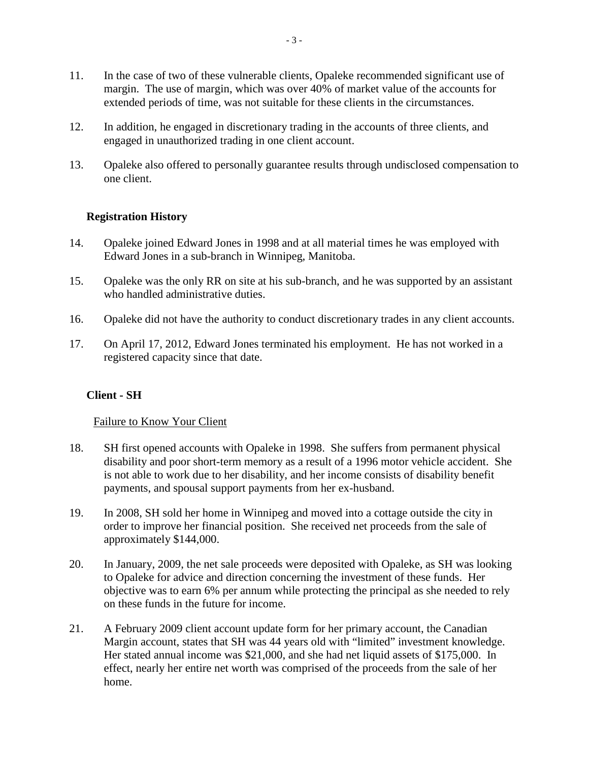- 11. In the case of two of these vulnerable clients, Opaleke recommended significant use of margin. The use of margin, which was over 40% of market value of the accounts for extended periods of time, was not suitable for these clients in the circumstances.
- 12. In addition, he engaged in discretionary trading in the accounts of three clients, and engaged in unauthorized trading in one client account.
- 13. Opaleke also offered to personally guarantee results through undisclosed compensation to one client.

# **Registration History**

- 14. Opaleke joined Edward Jones in 1998 and at all material times he was employed with Edward Jones in a sub-branch in Winnipeg, Manitoba.
- 15. Opaleke was the only RR on site at his sub-branch, and he was supported by an assistant who handled administrative duties.
- 16. Opaleke did not have the authority to conduct discretionary trades in any client accounts.
- 17. On April 17, 2012, Edward Jones terminated his employment. He has not worked in a registered capacity since that date.

# **Client - SH**

# Failure to Know Your Client

- 18. SH first opened accounts with Opaleke in 1998. She suffers from permanent physical disability and poor short-term memory as a result of a 1996 motor vehicle accident. She is not able to work due to her disability, and her income consists of disability benefit payments, and spousal support payments from her ex-husband.
- 19. In 2008, SH sold her home in Winnipeg and moved into a cottage outside the city in order to improve her financial position. She received net proceeds from the sale of approximately \$144,000.
- 20. In January, 2009, the net sale proceeds were deposited with Opaleke, as SH was looking to Opaleke for advice and direction concerning the investment of these funds. Her objective was to earn 6% per annum while protecting the principal as she needed to rely on these funds in the future for income.
- 21. A February 2009 client account update form for her primary account, the Canadian Margin account, states that SH was 44 years old with "limited" investment knowledge. Her stated annual income was \$21,000, and she had net liquid assets of \$175,000. In effect, nearly her entire net worth was comprised of the proceeds from the sale of her home.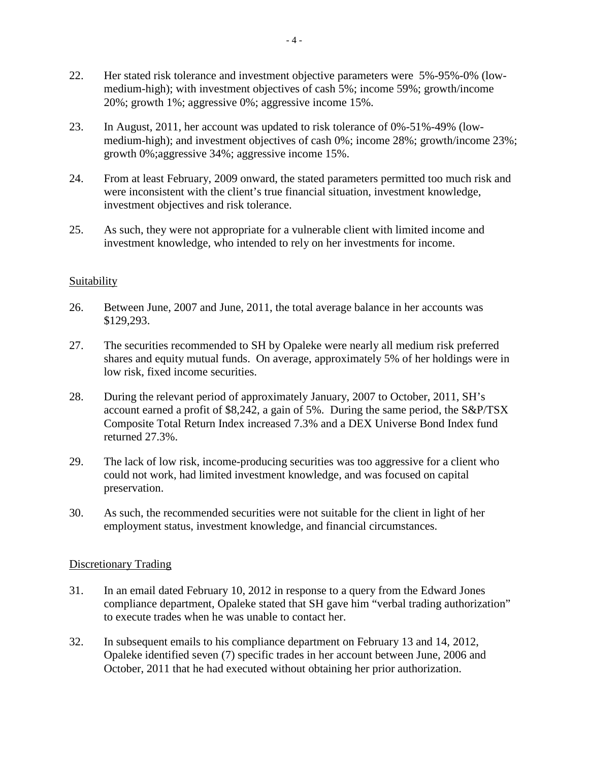- 22. Her stated risk tolerance and investment objective parameters were 5%-95%-0% (lowmedium-high); with investment objectives of cash 5%; income 59%; growth/income 20%; growth 1%; aggressive 0%; aggressive income 15%.
- 23. In August, 2011, her account was updated to risk tolerance of 0%-51%-49% (lowmedium-high); and investment objectives of cash 0%; income 28%; growth/income 23%; growth 0%;aggressive 34%; aggressive income 15%.
- 24. From at least February, 2009 onward, the stated parameters permitted too much risk and were inconsistent with the client's true financial situation, investment knowledge, investment objectives and risk tolerance.
- 25. As such, they were not appropriate for a vulnerable client with limited income and investment knowledge, who intended to rely on her investments for income.

# Suitability

- 26. Between June, 2007 and June, 2011, the total average balance in her accounts was \$129,293.
- 27. The securities recommended to SH by Opaleke were nearly all medium risk preferred shares and equity mutual funds. On average, approximately 5% of her holdings were in low risk, fixed income securities.
- 28. During the relevant period of approximately January, 2007 to October, 2011, SH's account earned a profit of \$8,242, a gain of 5%. During the same period, the S&P/TSX Composite Total Return Index increased 7.3% and a DEX Universe Bond Index fund returned 27.3%.
- 29. The lack of low risk, income-producing securities was too aggressive for a client who could not work, had limited investment knowledge, and was focused on capital preservation.
- 30. As such, the recommended securities were not suitable for the client in light of her employment status, investment knowledge, and financial circumstances.

# Discretionary Trading

- 31. In an email dated February 10, 2012 in response to a query from the Edward Jones compliance department, Opaleke stated that SH gave him "verbal trading authorization" to execute trades when he was unable to contact her.
- 32. In subsequent emails to his compliance department on February 13 and 14, 2012, Opaleke identified seven (7) specific trades in her account between June, 2006 and October, 2011 that he had executed without obtaining her prior authorization.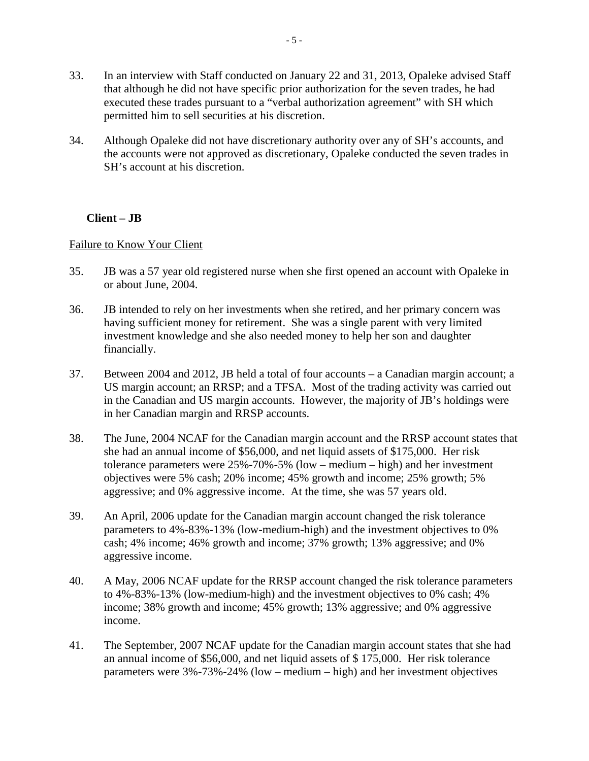- 33. In an interview with Staff conducted on January 22 and 31, 2013, Opaleke advised Staff that although he did not have specific prior authorization for the seven trades, he had executed these trades pursuant to a "verbal authorization agreement" with SH which permitted him to sell securities at his discretion.
- 34. Although Opaleke did not have discretionary authority over any of SH's accounts, and the accounts were not approved as discretionary, Opaleke conducted the seven trades in SH's account at his discretion.

# **Client – JB**

# Failure to Know Your Client

- 35. JB was a 57 year old registered nurse when she first opened an account with Opaleke in or about June, 2004.
- 36. JB intended to rely on her investments when she retired, and her primary concern was having sufficient money for retirement. She was a single parent with very limited investment knowledge and she also needed money to help her son and daughter financially.
- 37. Between 2004 and 2012, JB held a total of four accounts a Canadian margin account; a US margin account; an RRSP; and a TFSA. Most of the trading activity was carried out in the Canadian and US margin accounts. However, the majority of JB's holdings were in her Canadian margin and RRSP accounts.
- 38. The June, 2004 NCAF for the Canadian margin account and the RRSP account states that she had an annual income of \$56,000, and net liquid assets of \$175,000. Her risk tolerance parameters were 25%-70%-5% (low – medium – high) and her investment objectives were 5% cash; 20% income; 45% growth and income; 25% growth; 5% aggressive; and 0% aggressive income. At the time, she was 57 years old.
- 39. An April, 2006 update for the Canadian margin account changed the risk tolerance parameters to 4%-83%-13% (low-medium-high) and the investment objectives to 0% cash; 4% income; 46% growth and income; 37% growth; 13% aggressive; and 0% aggressive income.
- 40. A May, 2006 NCAF update for the RRSP account changed the risk tolerance parameters to 4%-83%-13% (low-medium-high) and the investment objectives to 0% cash; 4% income; 38% growth and income; 45% growth; 13% aggressive; and 0% aggressive income.
- 41. The September, 2007 NCAF update for the Canadian margin account states that she had an annual income of \$56,000, and net liquid assets of \$ 175,000. Her risk tolerance parameters were 3%-73%-24% (low – medium – high) and her investment objectives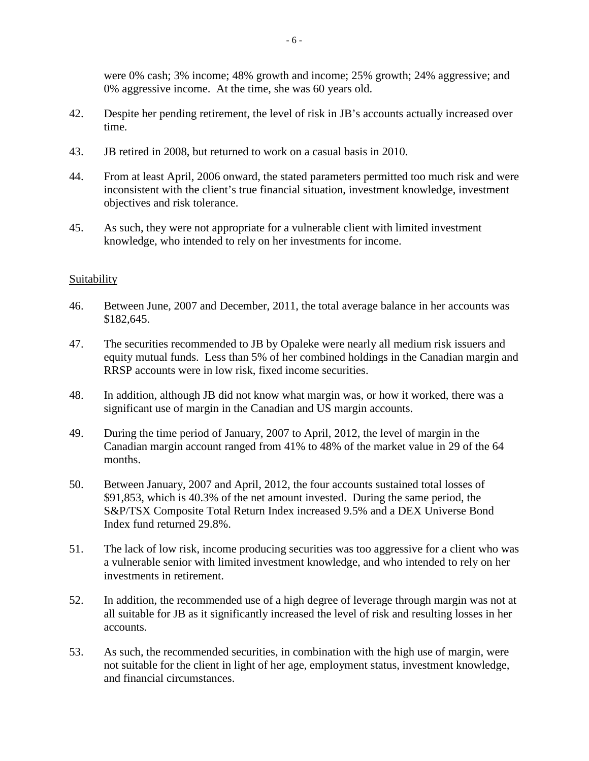were 0% cash; 3% income; 48% growth and income; 25% growth; 24% aggressive; and 0% aggressive income. At the time, she was 60 years old.

- 42. Despite her pending retirement, the level of risk in JB's accounts actually increased over time.
- 43. JB retired in 2008, but returned to work on a casual basis in 2010.
- 44. From at least April, 2006 onward, the stated parameters permitted too much risk and were inconsistent with the client's true financial situation, investment knowledge, investment objectives and risk tolerance.
- 45. As such, they were not appropriate for a vulnerable client with limited investment knowledge, who intended to rely on her investments for income.

# **Suitability**

- 46. Between June, 2007 and December, 2011, the total average balance in her accounts was \$182,645.
- 47. The securities recommended to JB by Opaleke were nearly all medium risk issuers and equity mutual funds. Less than 5% of her combined holdings in the Canadian margin and RRSP accounts were in low risk, fixed income securities.
- 48. In addition, although JB did not know what margin was, or how it worked, there was a significant use of margin in the Canadian and US margin accounts.
- 49. During the time period of January, 2007 to April, 2012, the level of margin in the Canadian margin account ranged from 41% to 48% of the market value in 29 of the 64 months.
- 50. Between January, 2007 and April, 2012, the four accounts sustained total losses of \$91,853, which is 40.3% of the net amount invested. During the same period, the S&P/TSX Composite Total Return Index increased 9.5% and a DEX Universe Bond Index fund returned 29.8%.
- 51. The lack of low risk, income producing securities was too aggressive for a client who was a vulnerable senior with limited investment knowledge, and who intended to rely on her investments in retirement.
- 52. In addition, the recommended use of a high degree of leverage through margin was not at all suitable for JB as it significantly increased the level of risk and resulting losses in her accounts.
- 53. As such, the recommended securities, in combination with the high use of margin, were not suitable for the client in light of her age, employment status, investment knowledge, and financial circumstances.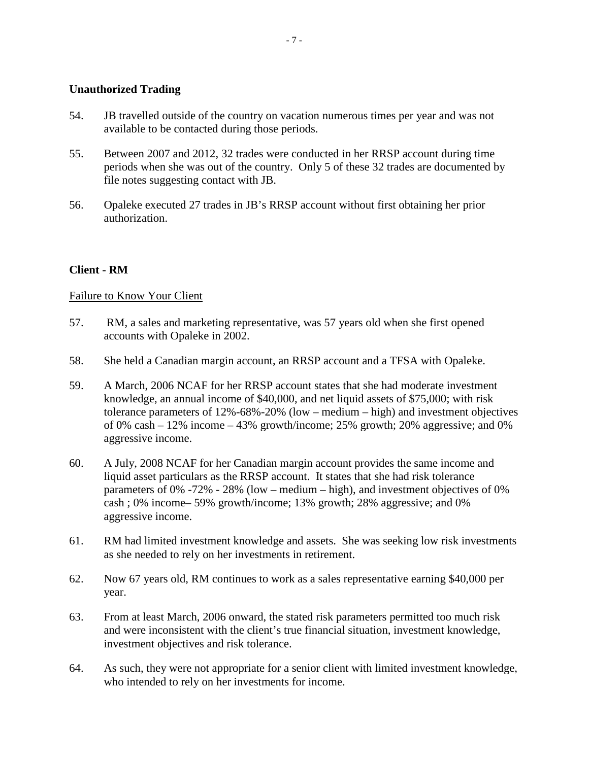#### **Unauthorized Trading**

- 54. JB travelled outside of the country on vacation numerous times per year and was not available to be contacted during those periods.
- 55. Between 2007 and 2012, 32 trades were conducted in her RRSP account during time periods when she was out of the country. Only 5 of these 32 trades are documented by file notes suggesting contact with JB.
- 56. Opaleke executed 27 trades in JB's RRSP account without first obtaining her prior authorization.

# **Client - RM**

# Failure to Know Your Client

- 57. RM, a sales and marketing representative, was 57 years old when she first opened accounts with Opaleke in 2002.
- 58. She held a Canadian margin account, an RRSP account and a TFSA with Opaleke.
- 59. A March, 2006 NCAF for her RRSP account states that she had moderate investment knowledge, an annual income of \$40,000, and net liquid assets of \$75,000; with risk tolerance parameters of 12%-68%-20% (low – medium – high) and investment objectives of 0% cash  $-12$ % income  $-43$ % growth/income; 25% growth; 20% aggressive; and 0% aggressive income.
- 60. A July, 2008 NCAF for her Canadian margin account provides the same income and liquid asset particulars as the RRSP account. It states that she had risk tolerance parameters of 0% -72% - 28% (low – medium – high), and investment objectives of 0% cash ; 0% income– 59% growth/income; 13% growth; 28% aggressive; and 0% aggressive income.
- 61. RM had limited investment knowledge and assets. She was seeking low risk investments as she needed to rely on her investments in retirement.
- 62. Now 67 years old, RM continues to work as a sales representative earning \$40,000 per year.
- 63. From at least March, 2006 onward, the stated risk parameters permitted too much risk and were inconsistent with the client's true financial situation, investment knowledge, investment objectives and risk tolerance.
- 64. As such, they were not appropriate for a senior client with limited investment knowledge, who intended to rely on her investments for income.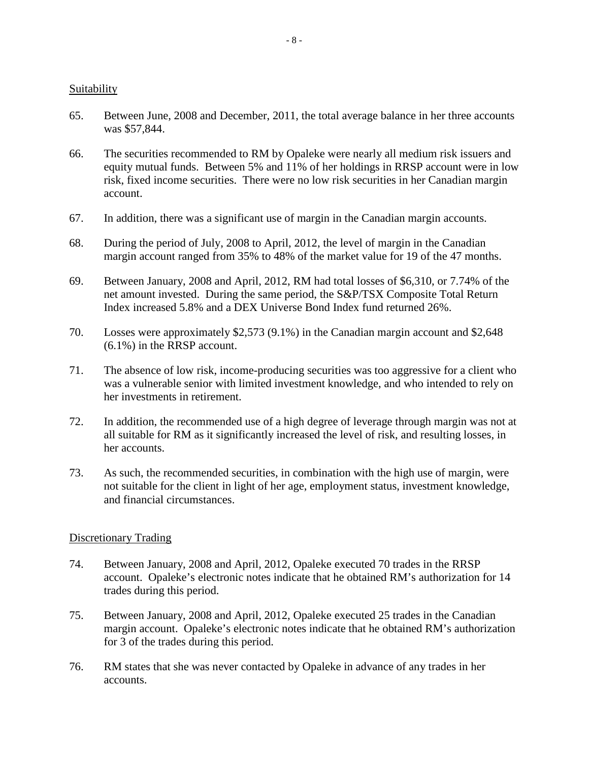#### **Suitability**

- 65. Between June, 2008 and December, 2011, the total average balance in her three accounts was \$57,844.
- 66. The securities recommended to RM by Opaleke were nearly all medium risk issuers and equity mutual funds. Between 5% and 11% of her holdings in RRSP account were in low risk, fixed income securities. There were no low risk securities in her Canadian margin account.
- 67. In addition, there was a significant use of margin in the Canadian margin accounts.
- 68. During the period of July, 2008 to April, 2012, the level of margin in the Canadian margin account ranged from 35% to 48% of the market value for 19 of the 47 months.
- 69. Between January, 2008 and April, 2012, RM had total losses of \$6,310, or 7.74% of the net amount invested. During the same period, the S&P/TSX Composite Total Return Index increased 5.8% and a DEX Universe Bond Index fund returned 26%.
- 70. Losses were approximately \$2,573 (9.1%) in the Canadian margin account and \$2,648 (6.1%) in the RRSP account.
- 71. The absence of low risk, income-producing securities was too aggressive for a client who was a vulnerable senior with limited investment knowledge, and who intended to rely on her investments in retirement.
- 72. In addition, the recommended use of a high degree of leverage through margin was not at all suitable for RM as it significantly increased the level of risk, and resulting losses, in her accounts.
- 73. As such, the recommended securities, in combination with the high use of margin, were not suitable for the client in light of her age, employment status, investment knowledge, and financial circumstances.

# Discretionary Trading

- 74. Between January, 2008 and April, 2012, Opaleke executed 70 trades in the RRSP account. Opaleke's electronic notes indicate that he obtained RM's authorization for 14 trades during this period.
- 75. Between January, 2008 and April, 2012, Opaleke executed 25 trades in the Canadian margin account. Opaleke's electronic notes indicate that he obtained RM's authorization for 3 of the trades during this period.
- 76. RM states that she was never contacted by Opaleke in advance of any trades in her accounts.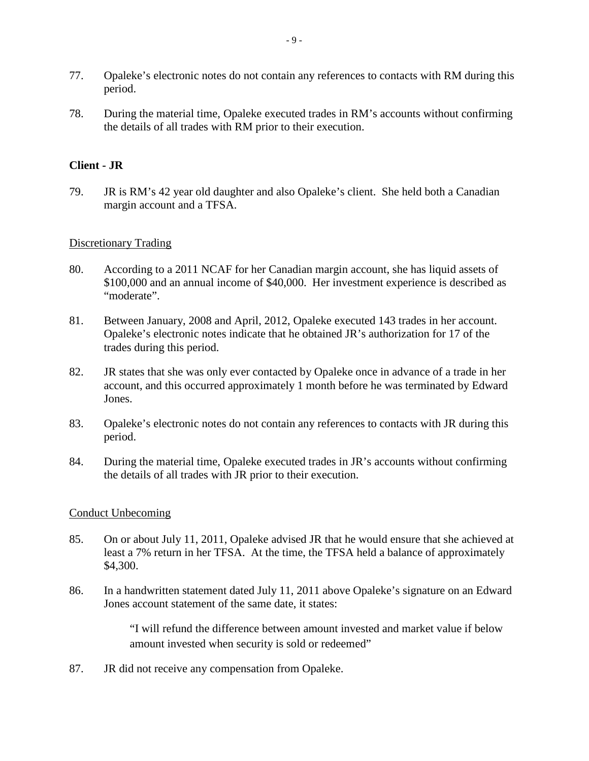- 77. Opaleke's electronic notes do not contain any references to contacts with RM during this period.
- 78. During the material time, Opaleke executed trades in RM's accounts without confirming the details of all trades with RM prior to their execution.

# **Client - JR**

79. JR is RM's 42 year old daughter and also Opaleke's client. She held both a Canadian margin account and a TFSA.

# Discretionary Trading

- 80. According to a 2011 NCAF for her Canadian margin account, she has liquid assets of \$100,000 and an annual income of \$40,000. Her investment experience is described as "moderate".
- 81. Between January, 2008 and April, 2012, Opaleke executed 143 trades in her account. Opaleke's electronic notes indicate that he obtained JR's authorization for 17 of the trades during this period.
- 82. JR states that she was only ever contacted by Opaleke once in advance of a trade in her account, and this occurred approximately 1 month before he was terminated by Edward Jones.
- 83. Opaleke's electronic notes do not contain any references to contacts with JR during this period.
- 84. During the material time, Opaleke executed trades in JR's accounts without confirming the details of all trades with JR prior to their execution.

#### Conduct Unbecoming

- 85. On or about July 11, 2011, Opaleke advised JR that he would ensure that she achieved at least a 7% return in her TFSA. At the time, the TFSA held a balance of approximately \$4,300.
- 86. In a handwritten statement dated July 11, 2011 above Opaleke's signature on an Edward Jones account statement of the same date, it states:

"I will refund the difference between amount invested and market value if below amount invested when security is sold or redeemed"

87. JR did not receive any compensation from Opaleke.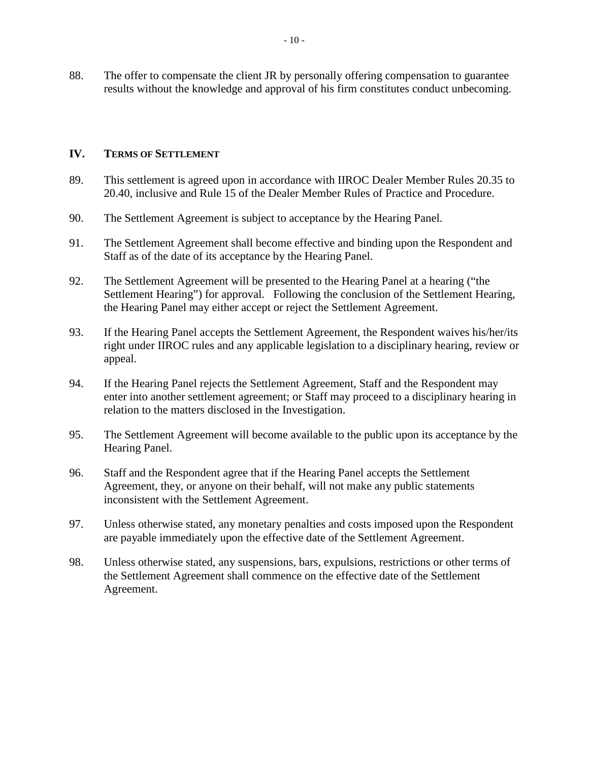88. The offer to compensate the client JR by personally offering compensation to guarantee results without the knowledge and approval of his firm constitutes conduct unbecoming.

#### **IV. TERMS OF SETTLEMENT**

- 89. This settlement is agreed upon in accordance with IIROC Dealer Member Rules 20.35 to 20.40, inclusive and Rule 15 of the Dealer Member Rules of Practice and Procedure.
- 90. The Settlement Agreement is subject to acceptance by the Hearing Panel.
- 91. The Settlement Agreement shall become effective and binding upon the Respondent and Staff as of the date of its acceptance by the Hearing Panel.
- 92. The Settlement Agreement will be presented to the Hearing Panel at a hearing ("the Settlement Hearing") for approval. Following the conclusion of the Settlement Hearing, the Hearing Panel may either accept or reject the Settlement Agreement.
- 93. If the Hearing Panel accepts the Settlement Agreement, the Respondent waives his/her/its right under IIROC rules and any applicable legislation to a disciplinary hearing, review or appeal.
- 94. If the Hearing Panel rejects the Settlement Agreement, Staff and the Respondent may enter into another settlement agreement; or Staff may proceed to a disciplinary hearing in relation to the matters disclosed in the Investigation.
- 95. The Settlement Agreement will become available to the public upon its acceptance by the Hearing Panel.
- 96. Staff and the Respondent agree that if the Hearing Panel accepts the Settlement Agreement, they, or anyone on their behalf, will not make any public statements inconsistent with the Settlement Agreement.
- 97. Unless otherwise stated, any monetary penalties and costs imposed upon the Respondent are payable immediately upon the effective date of the Settlement Agreement.
- 98. Unless otherwise stated, any suspensions, bars, expulsions, restrictions or other terms of the Settlement Agreement shall commence on the effective date of the Settlement Agreement.